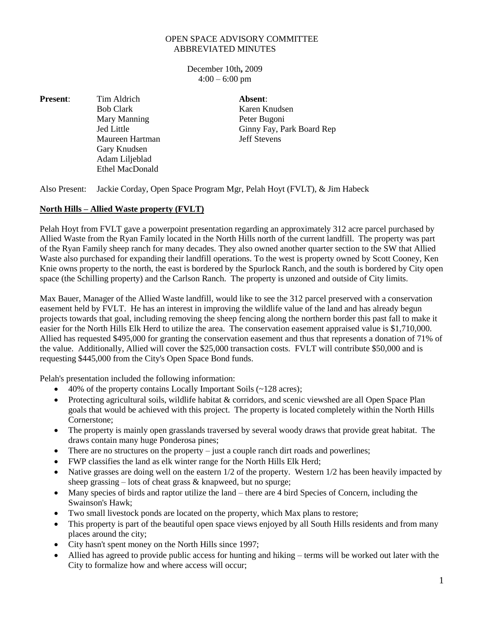## OPEN SPACE ADVISORY COMMITTEE ABBREVIATED MINUTES

December 10th**,** 2009  $4:00 - 6:00$  pm

**Present:** Tim Aldrich **Absent**: Mary Manning Peter Bugoni Maureen Hartman Jeff Stevens Gary Knudsen Adam Liljeblad Ethel MacDonald

Bob Clark Karen Knudsen Jed Little Ginny Fay, Park Board Rep

Also Present: Jackie Corday, Open Space Program Mgr, Pelah Hoyt (FVLT), & Jim Habeck

## **North Hills – Allied Waste property (FVLT)**

Pelah Hoyt from FVLT gave a powerpoint presentation regarding an approximately 312 acre parcel purchased by Allied Waste from the Ryan Family located in the North Hills north of the current landfill. The property was part of the Ryan Family sheep ranch for many decades. They also owned another quarter section to the SW that Allied Waste also purchased for expanding their landfill operations. To the west is property owned by Scott Cooney, Ken Knie owns property to the north, the east is bordered by the Spurlock Ranch, and the south is bordered by City open space (the Schilling property) and the Carlson Ranch. The property is unzoned and outside of City limits.

Max Bauer, Manager of the Allied Waste landfill, would like to see the 312 parcel preserved with a conservation easement held by FVLT. He has an interest in improving the wildlife value of the land and has already begun projects towards that goal, including removing the sheep fencing along the northern border this past fall to make it easier for the North Hills Elk Herd to utilize the area. The conservation easement appraised value is \$1,710,000. Allied has requested \$495,000 for granting the conservation easement and thus that represents a donation of 71% of the value. Additionally, Allied will cover the \$25,000 transaction costs. FVLT will contribute \$50,000 and is requesting \$445,000 from the City's Open Space Bond funds.

Pelah's presentation included the following information:

- 40% of the property contains Locally Important Soils (~128 acres);
- Protecting agricultural soils, wildlife habitat & corridors, and scenic viewshed are all Open Space Plan goals that would be achieved with this project. The property is located completely within the North Hills Cornerstone;
- The property is mainly open grasslands traversed by several woody draws that provide great habitat. The draws contain many huge Ponderosa pines;
- There are no structures on the property just a couple ranch dirt roads and powerlines;
- FWP classifies the land as elk winter range for the North Hills Elk Herd;
- Native grasses are doing well on the eastern 1/2 of the property. Western 1/2 has been heavily impacted by sheep grassing  $-$  lots of cheat grass  $\&$  knapweed, but no spurge;
- Many species of birds and raptor utilize the land there are 4 bird Species of Concern, including the Swainson's Hawk;
- Two small livestock ponds are located on the property, which Max plans to restore;
- This property is part of the beautiful open space views enjoyed by all South Hills residents and from many places around the city;
- City hasn't spent money on the North Hills since 1997;
- Allied has agreed to provide public access for hunting and hiking terms will be worked out later with the City to formalize how and where access will occur;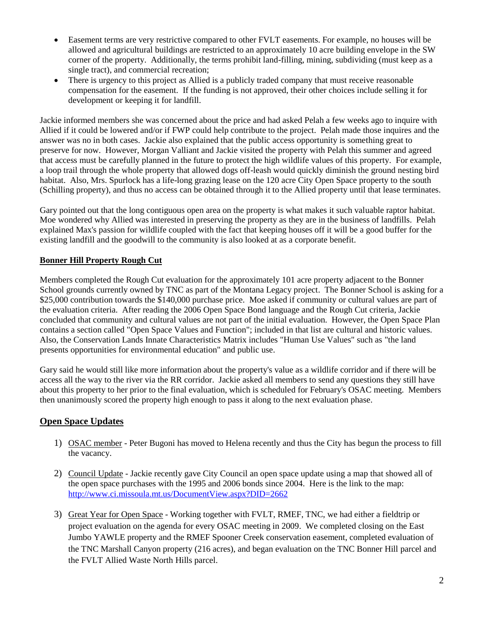- Easement terms are very restrictive compared to other FVLT easements. For example, no houses will be allowed and agricultural buildings are restricted to an approximately 10 acre building envelope in the SW corner of the property. Additionally, the terms prohibit land-filling, mining, subdividing (must keep as a single tract), and commercial recreation;
- There is urgency to this project as Allied is a publicly traded company that must receive reasonable compensation for the easement. If the funding is not approved, their other choices include selling it for development or keeping it for landfill.

Jackie informed members she was concerned about the price and had asked Pelah a few weeks ago to inquire with Allied if it could be lowered and/or if FWP could help contribute to the project. Pelah made those inquires and the answer was no in both cases. Jackie also explained that the public access opportunity is something great to preserve for now. However, Morgan Valliant and Jackie visited the property with Pelah this summer and agreed that access must be carefully planned in the future to protect the high wildlife values of this property. For example, a loop trail through the whole property that allowed dogs off-leash would quickly diminish the ground nesting bird habitat. Also, Mrs. Spurlock has a life-long grazing lease on the 120 acre City Open Space property to the south (Schilling property), and thus no access can be obtained through it to the Allied property until that lease terminates.

Gary pointed out that the long contiguous open area on the property is what makes it such valuable raptor habitat. Moe wondered why Allied was interested in preserving the property as they are in the business of landfills. Pelah explained Max's passion for wildlife coupled with the fact that keeping houses off it will be a good buffer for the existing landfill and the goodwill to the community is also looked at as a corporate benefit.

## **Bonner Hill Property Rough Cut**

Members completed the Rough Cut evaluation for the approximately 101 acre property adjacent to the Bonner School grounds currently owned by TNC as part of the Montana Legacy project. The Bonner School is asking for a \$25,000 contribution towards the \$140,000 purchase price. Moe asked if community or cultural values are part of the evaluation criteria. After reading the 2006 Open Space Bond language and the Rough Cut criteria, Jackie concluded that community and cultural values are not part of the initial evaluation. However, the Open Space Plan contains a section called "Open Space Values and Function"; included in that list are cultural and historic values. Also, the Conservation Lands Innate Characteristics Matrix includes "Human Use Values" such as "the land presents opportunities for environmental education" and public use.

Gary said he would still like more information about the property's value as a wildlife corridor and if there will be access all the way to the river via the RR corridor. Jackie asked all members to send any questions they still have about this property to her prior to the final evaluation, which is scheduled for February's OSAC meeting. Members then unanimously scored the property high enough to pass it along to the next evaluation phase.

## **Open Space Updates**

- 1) OSAC member Peter Bugoni has moved to Helena recently and thus the City has begun the process to fill the vacancy.
- 2) Council Update Jackie recently gave City Council an open space update using a map that showed all of the open space purchases with the 1995 and 2006 bonds since 2004. Here is the link to the map: <http://www.ci.missoula.mt.us/DocumentView.aspx?DID=2662>
- 3) Great Year for Open Space Working together with FVLT, RMEF, TNC, we had either a fieldtrip or project evaluation on the agenda for every OSAC meeting in 2009. We completed closing on the East Jumbo YAWLE property and the RMEF Spooner Creek conservation easement, completed evaluation of the TNC Marshall Canyon property (216 acres), and began evaluation on the TNC Bonner Hill parcel and the FVLT Allied Waste North Hills parcel.